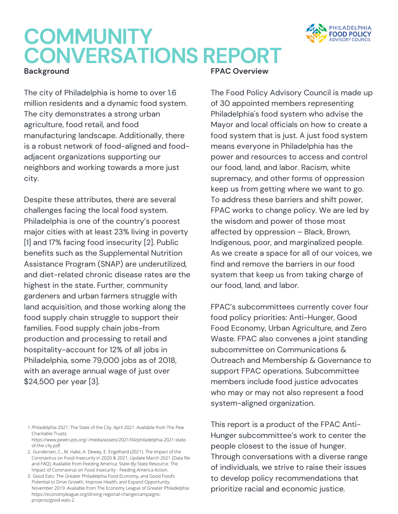

## **COMMUNITY CONVERSATIONS REPORT**

#### **Background**

The city of Philadelphia is home to over 1.6 million residents and a dynamic food system. The city demonstrates a strong urban agriculture, food retail, and food manufacturing landscape. Additionally, there is a robust network of food-aligned and foodadjacent organizations supporting our neighbors and working towards a more just city.

Despite these attributes, there are several challenges facing the local food system. Philadelphia is one of the country's poorest major cities with at least 23% living in poverty [1] and 17% facing food insecurity [2]. Public benefits such as the Supplemental Nutrition Assistance Program (SNAP) are underutilized, and diet-related chronic disease rates are the highest in the state. Further, community gardeners and urban farmers struggle with land acquisition, and those working along the food supply chain struggle to support their families. Food supply chain jobs-from production and processing to retail and hospitality-account for 12% of all jobs in Philadelphia, some 79,000 jobs as of 2018, with an average annual wage of just over \$24,500 per year [3].

**FPAC Overview**

The Food Policy Advisory Council is made up of 30 appointed members representing Philadelphia's food system who advise the Mayor and local officials on how to create a food system that is just. A just food system means everyone in Philadelphia has the power and resources to access and control our food, land, and labor. Racism, white supremacy, and other forms of oppression keep us from getting where we want to go. To address these barriers and shift power, FPAC works to change policy. We are led by the wisdom and power of those most affected by oppression – Black, Brown, Indigenous, poor, and marginalized people. As we create a space for all of our voices, we find and remove the barriers in our food system that keep us from taking charge of our food, land, and labor.

FPAC's subcommittees currently cover four food policy priorities: Anti-Hunger, Good Food Economy, Urban Agriculture, and Zero Waste. FPAC also convenes a joint standing subcommittee on Communications & Outreach and Membership & Governance to support FPAC operations. Subcommittee members include food justice advocates who may or may not also represent a food system-aligned organization.

This report is a product of the FPAC Anti-Hunger subcommittee's work to center the people closest to the issue of hunger. Through conversations with a diverse range of individuals, we strive to raise their issues to develop policy recommendations that prioritize racial and economic justice.

Philadelphia 2021: The State of the City. April 2021. Available from The Pew 1. Charitable Trusts:

[https://www.pewtrusts.org/-/media/assets/2021/04/philadelphia-2021-state](https://www.pewtrusts.org/-/media/assets/2021/04/philadelphia-2021-state-of-the-city.pdf)of-the-city.pdf.

<sup>2.</sup> Gundersen, C., M. Hake, A. Dewey, E. Engelhard (2021). The Impact of the Coronavirus on Food Insecurity in 2020 & 2021, Update March 2021 [Data file [and FAQ\]. Available from Feeding America: State-By-State Resource: The](https://feedingamericaaction.org/resources/state-by-state-resource-the-impact-of-coronavirus-on-food-insecurity/) Impact of Coronavirus on Food Insecurity - Feeding America Action.

<sup>3.</sup> Good Eats: The Greater Philadelphia Food Economy, and Good Food's Potential to Drive Growth, Improve Health, and Expand Opportunity. November 2019. Available from The Economy League of Greater Philadelphia: https://economyleague.org/driving-regional-change/campaignsprojects/good-eats-2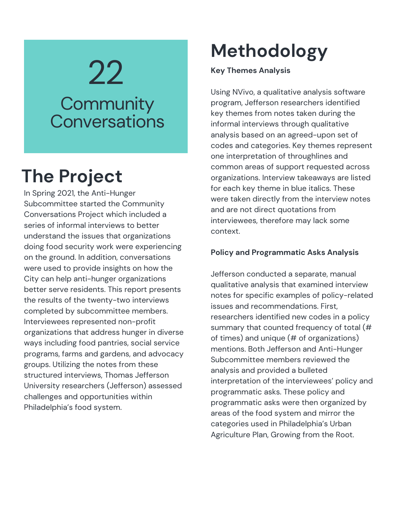# 22 **Community Conversations**

## **The Project**

In Spring 2021, the Anti-Hunger Subcommittee started the Community Conversations Project which included a series of informal interviews to better understand the issues that organizations doing food security work were experiencing on the ground. In addition, conversations were used to provide insights on how the City can help anti-hunger organizations better serve residents. This report presents the results of the twenty-two interviews completed by subcommittee members. Interviewees represented non-profit organizations that address hunger in diverse ways including food pantries, social service programs, farms and gardens, and advocacy groups. Utilizing the notes from these structured interviews, Thomas Jefferson University researchers (Jefferson) assessed challenges and opportunities within Philadelphia's food system.

## **Methodology**

### **Key Themes Analysis**

Using NVivo, a qualitative analysis software program, Jefferson researchers identified key themes from notes taken during the informal interviews through qualitative analysis based on an agreed-upon set of codes and [categories.](https://docs.google.com/document/d/1w-P_Fcg3Et46Zl53Bx0j_BFu0UERMKMP/edit) Key themes represent one interpretation of throughlines and common areas of support requested across organizations. Interview takeaways are listed for each key theme in blue italics. These were taken directly from the interview notes and are not direct quotations from interviewees, therefore may lack some context.

### **Policy and Programmatic Asks Analysis**

Jefferson conducted a separate, manual qualitative analysis that examined interview notes for specific examples of policy-related issues and recommendations. First, researchers identified new codes in a policy summary that counted frequency of total (# of times) and unique (# of organizations) mentions. Both Jefferson and Anti-Hunger Subcommittee members reviewed the analysis and provided a bulleted interpretation of the interviewees' policy and programmatic asks. These policy and programmatic asks were then organized by areas of the food system and mirror the categories used in Philadelphia's Urban Agriculture Plan, Growing from the Root.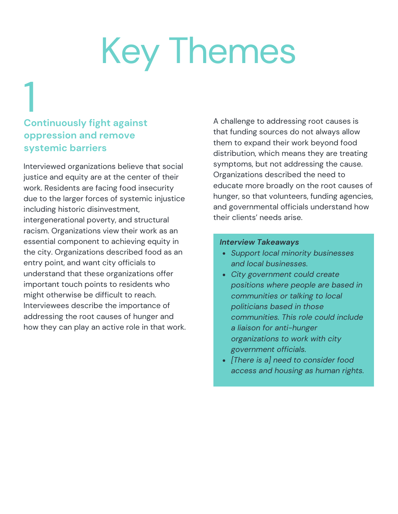## **Continuously fight against oppression and remove systemic barriers** 1<br>0

Interviewed organizations believe that social justice and equity are at the center of their work. Residents are facing food insecurity due to the larger forces of systemic injustice including historic disinvestment, intergenerational poverty, and structural racism. Organizations view their work as an essential component to achieving equity in the city. Organizations described food as an entry point, and want city officials to understand that these organizations offer important touch points to residents who might otherwise be difficult to reach. Interviewees describe the importance of addressing the root causes of hunger and how they can play an active role in that work. A challenge to addressing root causes is that funding sources do not always allow them to expand their work beyond food distribution, which means they are treating symptoms, but not addressing the cause. Organizations described the need to educate more broadly on the root causes of hunger, so that volunteers, funding agencies, and governmental officials understand how their clients' needs arise.

- *Support local minority businesses and local businesses.*
- *City government could create positions where people are based in communities or talking to local politicians based in those communities. This role could include a liaison for anti-hunger organizations to work with city government officials.*
- *[There is a] need to consider food access and housing as human rights.*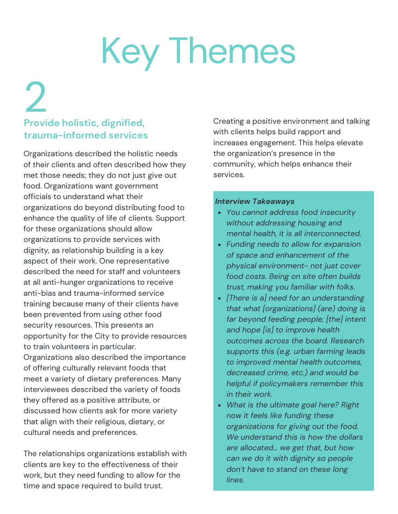## **Provide holistic, dignified, trauma-informed services** 2<br>Provi

Organizations described the holistic needs of their clients and often described how they met those needs; they do not just give out food. Organizations want government officials to understand what their organizations do beyond distributing food to enhance the quality of life of clients. Support for these organizations should allow organizations to provide services with dignity, as relationship building is a key aspect of their work. One representative described the need for staff and volunteers at all anti-hunger organizations to receive anti-bias and trauma-informed service training because many of their clients have been prevented from using other food security resources. This presents an opportunity for the City to provide resources to train volunteers in particular. Organizations also described the importance of offering culturally relevant foods that meet a variety of dietary preferences. Many interviewees described the variety of foods they offered as a positive attribute, or discussed how clients ask for more variety that align with their religious, dietary, or cultural needs and preferences.

The relationships organizations establish with clients are key to the effectiveness of their work, but they need funding to allow for the time and space required to build trust.

Creating a positive environment and talking with clients helps build rapport and increases engagement. This helps elevate the organization's presence in the community, which helps enhance their services.

- *You cannot address food insecurity without addressing housing and mental health, it is all interconnected.*
- *Funding needs to allow for expansion of space and enhancement of the physical environment- not just cover food costs. Being on site often builds trust, making you familiar with folks.*
- *[There is a] need for an understanding that what [organizations] (are) doing is far beyond feeding people; [the] intent and hope [is] to improve health outcomes across the board. Research supports this (e.g. urban farming leads to improved mental health outcomes, decreased crime, etc.) and would be helpful if policymakers remember this in their work.*
- *What is the ultimate goal here? Right now it feels like funding these organizations for giving out the food. We understand this is how the dollars are allocated… we get that, but how can we do it with dignity so people don't have to stand on these long lines.*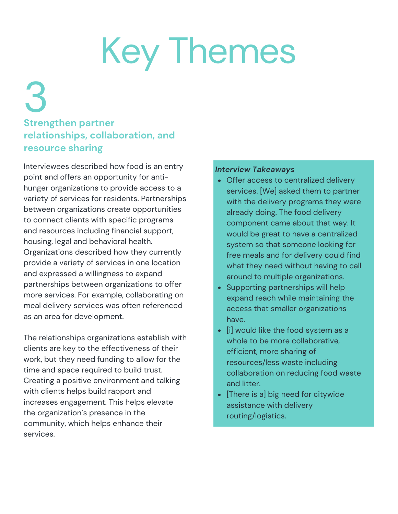3

## **Strengthen partner relationships, collaboration, and resource sharing**

Interviewees described how food is an entry point and offers an opportunity for antihunger organizations to provide access to a variety of services for residents. Partnerships between organizations create opportunities to connect clients with specific programs and resources including financial support, housing, legal and behavioral health. Organizations described how they currently provide a variety of services in one location and expressed a willingness to expand partnerships between organizations to offer more services. For example, collaborating on meal delivery services was often referenced as an area for development.

The relationships organizations establish with clients are key to the effectiveness of their work, but they need funding to allow for the time and space required to build trust. Creating a positive environment and talking with clients helps build rapport and increases engagement. This helps elevate the organization's presence in the community, which helps enhance their services.

- Offer access to centralized delivery services. [We] asked them to partner with the delivery programs they were already doing. The food delivery component came about that way. It would be great to have a centralized system so that someone looking for free meals and for delivery could find what they need without having to call around to multiple organizations.
- Supporting partnerships will help expand reach while maintaining the access that smaller organizations have.
- $\bullet$  [i] would like the food system as a whole to be more collaborative, efficient, more sharing of resources/less waste including collaboration on reducing food waste and litter.
- [There is a] big need for citywide assistance with delivery routing/logistics.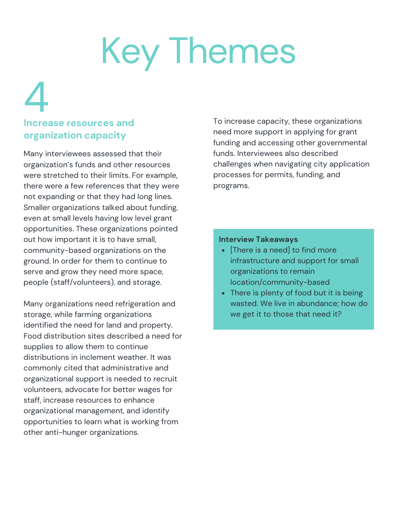## **Increase resources and organization capacity** 4

Many interviewees assessed that their organization's funds and other resources were stretched to their limits. For example, there were a few references that they were not expanding or that they had long lines. Smaller organizations talked about funding, even at small levels having low level grant opportunities. These organizations pointed out how important it is to have small, community-based organizations on the ground. In order for them to continue to serve and grow they need more space, people (staff/volunteers), and storage.

Many organizations need refrigeration and storage, while farming organizations identified the need for land and property. Food distribution sites described a need for supplies to allow them to continue distributions in inclement weather. It was commonly cited that administrative and organizational support is needed to recruit volunteers, advocate for better wages for staff, increase resources to enhance organizational management, and identify opportunities to learn what is working from other anti-hunger organizations.

To increase capacity, these organizations need more support in applying for grant funding and accessing other governmental funds. Interviewees also described challenges when navigating city application processes for permits, funding, and programs.

- [There is a need] to find more infrastructure and support for small organizations to remain location/community-based
- There is plenty of food but it is being wasted. We live in abundance; how do we get it to those that need it?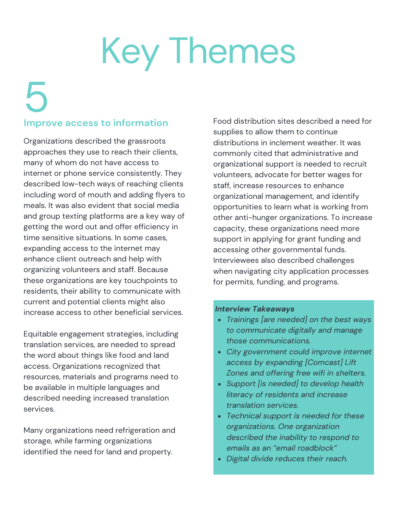# 5

## **Improve access to information**

Organizations described the grassroots approaches they use to reach their clients, many of whom do not have access to internet or phone service consistently. They described low-tech ways of reaching clients including word of mouth and adding flyers to meals. It was also evident that social media and group texting platforms are a key way of getting the word out and offer efficiency in time sensitive situations. In some cases, expanding access to the internet may enhance client outreach and help with organizing volunteers and staff. Because these organizations are key touchpoints to residents, their ability to communicate with current and potential clients might also increase access to other beneficial services.

Equitable engagement strategies, including translation services, are needed to spread the word about things like food and land access. Organizations recognized that resources, materials and programs need to be available in multiple languages and described needing increased translation services.

Many organizations need refrigeration and storage, while farming organizations identified the need for land and property.

Food distribution sites described a need for supplies to allow them to continue distributions in inclement weather. It was commonly cited that administrative and organizational support is needed to recruit volunteers, advocate for better wages for staff, increase resources to enhance organizational management, and identify opportunities to learn what is working from other anti-hunger organizations. To increase capacity, these organizations need more support in applying for grant funding and accessing other governmental funds. Interviewees also described challenges when navigating city application processes for permits, funding, and programs.

- *Trainings [are needed] on the best ways to communicate digitally and manage those communications.*
- *City government could improve internet access by expanding [Comcast] Lift Zones and offering free wifi in shelters.*
- *Support [is needed] to develop health literacy of residents and increase translation services.*
- *Technical support is needed for these organizations. One organization described the inability to respond to emails as an "email roadblock"*
- *Digital divide reduces their reach.*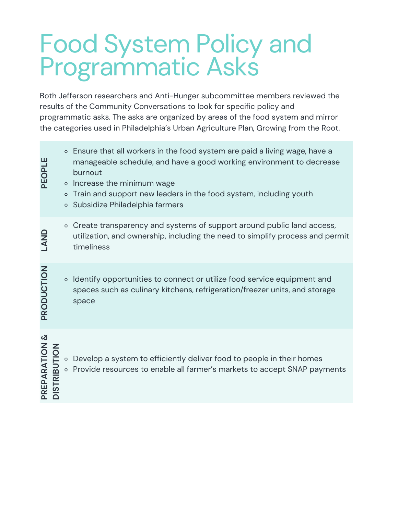# Food System Policy and Programmatic Asks

Both Jefferson researchers and Anti-Hunger subcommittee members reviewed the results of the Community Conversations to look for specific policy and programmatic asks. The asks are organized by areas of the food system and mirror the categories used in Philadelphia's Urban Agriculture Plan, Growing from the Root.

Ensure that all workers in the food system are paid a living wage, have a manageable schedule, and have a good working environment to decrease burnout o Increase the minimum wage o Train and support new leaders in the food system, including youth Subsidize Philadelphia farmers **PEOPLE**o Create transparency and systems of support around public land access, utilization, and ownership, including the need to simplify process and permit **LA**timeliness **ND**o Identify opportunities to connect or utilize food service equipment and spaces such as culinary kitchens, refrigeration/freezer units, and storage space **PRODU** $\mathbf{\mathbf{\mathbf{\mathbf{C}}}}$ **TIO N**Develop a system to efficiently deliver food to people in their homes  $\triangleright$  Provide resources to enable all farmer's markets to accept SNAP payments **PREPARATIO N&RIB UO**<br>F 。 **N**

Ē

**DIS T**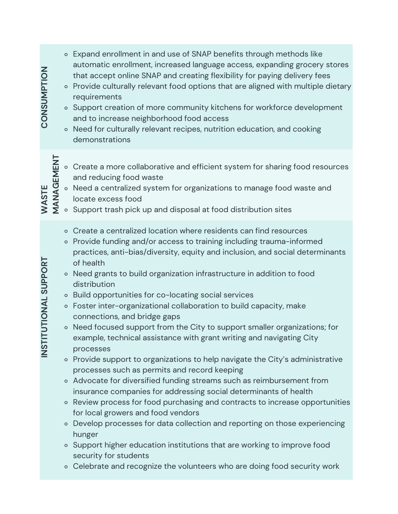| <b>ZOILANDSZOU</b>             |                     | $\circ$<br>$\circ$                                  | ○ Expand enrollment in and use of SNAP benefits through methods like<br>automatic enrollment, increased language access, expanding grocery stores<br>that accept online SNAP and creating flexibility for paying delivery fees<br>• Provide culturally relevant food options that are aligned with multiple dietary<br>requirements<br>Support creation of more community kitchens for workforce development<br>and to increase neighborhood food access<br>Need for culturally relevant recipes, nutrition education, and cooking<br>demonstrations                                                                                                                                                                                                                                                                                                                                                                                                                                                                                                                                                                                                                                                                                                           |
|--------------------------------|---------------------|-----------------------------------------------------|----------------------------------------------------------------------------------------------------------------------------------------------------------------------------------------------------------------------------------------------------------------------------------------------------------------------------------------------------------------------------------------------------------------------------------------------------------------------------------------------------------------------------------------------------------------------------------------------------------------------------------------------------------------------------------------------------------------------------------------------------------------------------------------------------------------------------------------------------------------------------------------------------------------------------------------------------------------------------------------------------------------------------------------------------------------------------------------------------------------------------------------------------------------------------------------------------------------------------------------------------------------|
|                                | WASTE<br>MANAGEMENT | $\circ$                                             | ○ Create a more collaborative and efficient system for sharing food resources<br>and reducing food waste<br>• Need a centralized system for organizations to manage food waste and<br>locate excess food<br>Support trash pick up and disposal at food distribution sites                                                                                                                                                                                                                                                                                                                                                                                                                                                                                                                                                                                                                                                                                                                                                                                                                                                                                                                                                                                      |
| <b>TUTIONAL SUPPORT</b><br>TS⊃ |                     | $\circ$<br>$\circ$<br>$\circ$<br>$\circ$<br>$\circ$ | ○ Create a centralized location where residents can find resources<br>Provide funding and/or access to training including trauma-informed<br>practices, anti-bias/diversity, equity and inclusion, and social determinants<br>of health<br>• Need grants to build organization infrastructure in addition to food<br>distribution<br>Build opportunities for co-locating social services<br>Foster inter-organizational collaboration to build capacity, make<br>connections, and bridge gaps<br>Need focused support from the City to support smaller organizations; for<br>example, technical assistance with grant writing and navigating City<br>processes<br>○ Provide support to organizations to help navigate the City's administrative<br>processes such as permits and record keeping<br>o Advocate for diversified funding streams such as reimbursement from<br>insurance companies for addressing social determinants of health<br>• Review process for food purchasing and contracts to increase opportunities<br>for local growers and food vendors<br>Develop processes for data collection and reporting on those experiencing<br>hunger<br>• Support higher education institutions that are working to improve food<br>security for students |
|                                |                     |                                                     | ○ Celebrate and recognize the volunteers who are doing food security work                                                                                                                                                                                                                                                                                                                                                                                                                                                                                                                                                                                                                                                                                                                                                                                                                                                                                                                                                                                                                                                                                                                                                                                      |